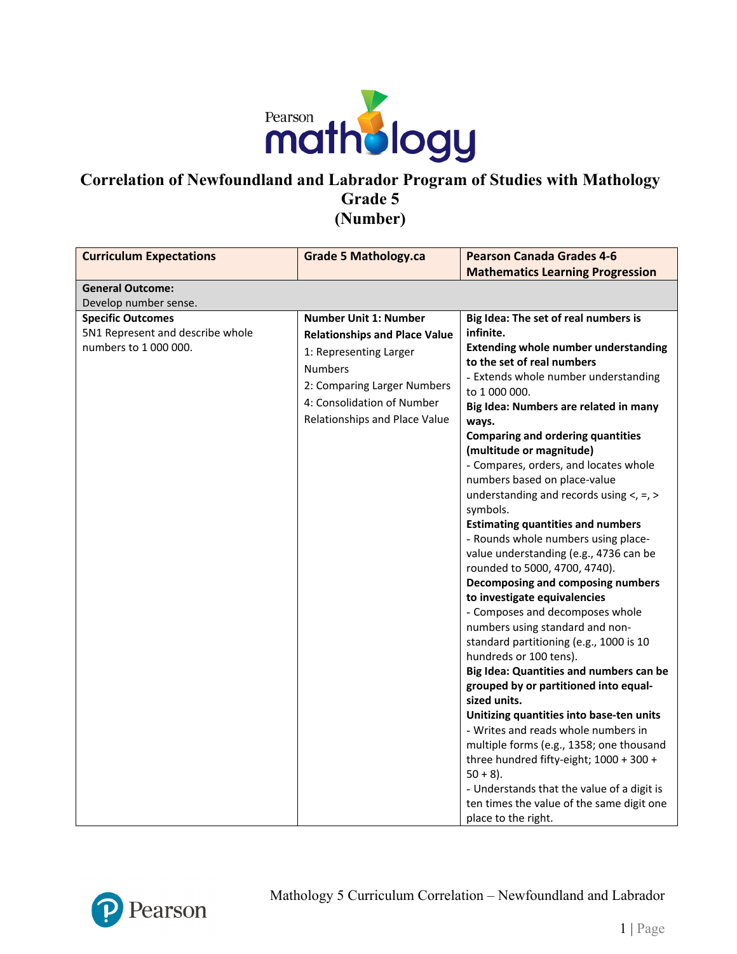

| <b>Curriculum Expectations</b>                                                        | <b>Grade 5 Mathology.ca</b>                                                                                                                                                                                    | <b>Pearson Canada Grades 4-6</b>                                                                                                                                                                                                                                                                                                                                                                                                                                                                                                                                                                                                                                                                                                                                                                                                                                                                                                                                                                                                                                                                                                                                                                                                                    |
|---------------------------------------------------------------------------------------|----------------------------------------------------------------------------------------------------------------------------------------------------------------------------------------------------------------|-----------------------------------------------------------------------------------------------------------------------------------------------------------------------------------------------------------------------------------------------------------------------------------------------------------------------------------------------------------------------------------------------------------------------------------------------------------------------------------------------------------------------------------------------------------------------------------------------------------------------------------------------------------------------------------------------------------------------------------------------------------------------------------------------------------------------------------------------------------------------------------------------------------------------------------------------------------------------------------------------------------------------------------------------------------------------------------------------------------------------------------------------------------------------------------------------------------------------------------------------------|
|                                                                                       |                                                                                                                                                                                                                | <b>Mathematics Learning Progression</b>                                                                                                                                                                                                                                                                                                                                                                                                                                                                                                                                                                                                                                                                                                                                                                                                                                                                                                                                                                                                                                                                                                                                                                                                             |
| <b>General Outcome:</b>                                                               |                                                                                                                                                                                                                |                                                                                                                                                                                                                                                                                                                                                                                                                                                                                                                                                                                                                                                                                                                                                                                                                                                                                                                                                                                                                                                                                                                                                                                                                                                     |
| Develop number sense.                                                                 |                                                                                                                                                                                                                |                                                                                                                                                                                                                                                                                                                                                                                                                                                                                                                                                                                                                                                                                                                                                                                                                                                                                                                                                                                                                                                                                                                                                                                                                                                     |
| <b>Specific Outcomes</b><br>5N1 Represent and describe whole<br>numbers to 1 000 000. | <b>Number Unit 1: Number</b><br><b>Relationships and Place Value</b><br>1: Representing Larger<br><b>Numbers</b><br>2: Comparing Larger Numbers<br>4: Consolidation of Number<br>Relationships and Place Value | Big Idea: The set of real numbers is<br>infinite.<br><b>Extending whole number understanding</b><br>to the set of real numbers<br>- Extends whole number understanding<br>to 1 000 000.<br>Big Idea: Numbers are related in many<br>ways.<br><b>Comparing and ordering quantities</b><br>(multitude or magnitude)<br>- Compares, orders, and locates whole<br>numbers based on place-value<br>understanding and records using $\lt$ , =, ><br>symbols.<br><b>Estimating quantities and numbers</b><br>- Rounds whole numbers using place-<br>value understanding (e.g., 4736 can be<br>rounded to 5000, 4700, 4740).<br>Decomposing and composing numbers<br>to investigate equivalencies<br>- Composes and decomposes whole<br>numbers using standard and non-<br>standard partitioning (e.g., 1000 is 10<br>hundreds or 100 tens).<br>Big Idea: Quantities and numbers can be<br>grouped by or partitioned into equal-<br>sized units.<br>Unitizing quantities into base-ten units<br>- Writes and reads whole numbers in<br>multiple forms (e.g., 1358; one thousand<br>three hundred fifty-eight; 1000 + 300 +<br>$50 + 8$ ).<br>- Understands that the value of a digit is<br>ten times the value of the same digit one<br>place to the right. |

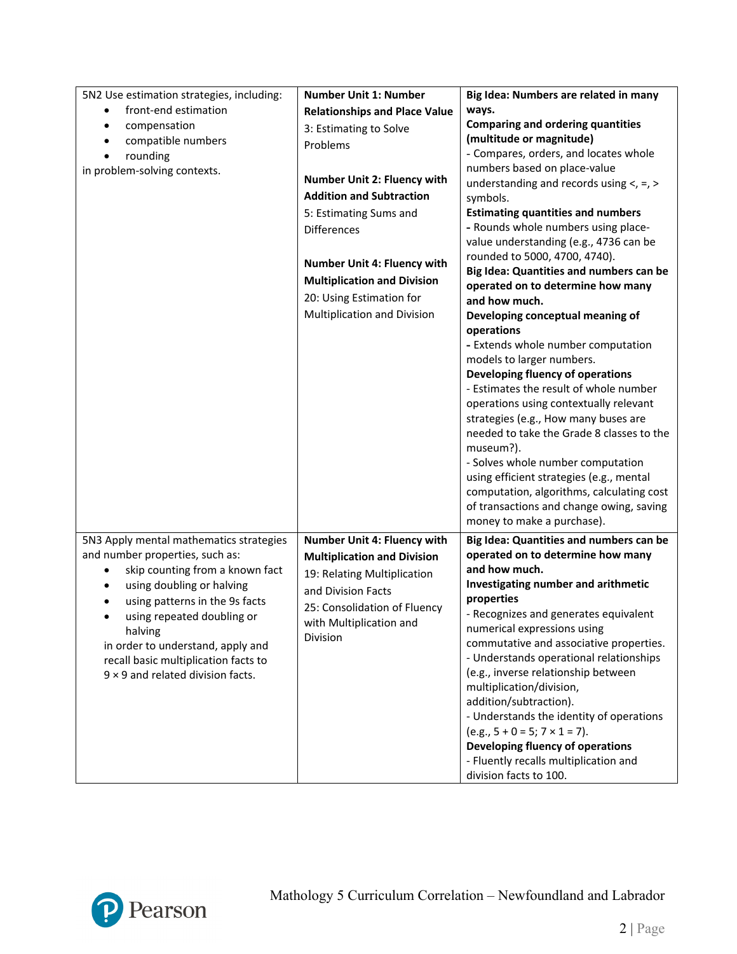| 5N2 Use estimation strategies, including: | <b>Number Unit 1: Number</b>         | Big Idea: Numbers are related in many                           |
|-------------------------------------------|--------------------------------------|-----------------------------------------------------------------|
| front-end estimation                      | <b>Relationships and Place Value</b> | ways.                                                           |
| compensation<br>$\bullet$                 | 3: Estimating to Solve               | <b>Comparing and ordering quantities</b>                        |
| compatible numbers<br>$\bullet$           | Problems                             | (multitude or magnitude)                                        |
| rounding<br>$\bullet$                     |                                      | - Compares, orders, and locates whole                           |
| in problem-solving contexts.              |                                      | numbers based on place-value                                    |
|                                           | <b>Number Unit 2: Fluency with</b>   | understanding and records using $<, =, >$                       |
|                                           | <b>Addition and Subtraction</b>      | symbols.                                                        |
|                                           | 5: Estimating Sums and               | <b>Estimating quantities and numbers</b>                        |
|                                           | <b>Differences</b>                   | - Rounds whole numbers using place-                             |
|                                           |                                      | value understanding (e.g., 4736 can be                          |
|                                           | Number Unit 4: Fluency with          | rounded to 5000, 4700, 4740).                                   |
|                                           | <b>Multiplication and Division</b>   | Big Idea: Quantities and numbers can be                         |
|                                           | 20: Using Estimation for             | operated on to determine how many                               |
|                                           |                                      | and how much.                                                   |
|                                           | Multiplication and Division          | Developing conceptual meaning of                                |
|                                           |                                      | operations                                                      |
|                                           |                                      | - Extends whole number computation<br>models to larger numbers. |
|                                           |                                      | Developing fluency of operations                                |
|                                           |                                      | - Estimates the result of whole number                          |
|                                           |                                      | operations using contextually relevant                          |
|                                           |                                      | strategies (e.g., How many buses are                            |
|                                           |                                      | needed to take the Grade 8 classes to the                       |
|                                           |                                      | museum?).                                                       |
|                                           |                                      | - Solves whole number computation                               |
|                                           |                                      | using efficient strategies (e.g., mental                        |
|                                           |                                      | computation, algorithms, calculating cost                       |
|                                           |                                      | of transactions and change owing, saving                        |
|                                           |                                      | money to make a purchase).                                      |
| 5N3 Apply mental mathematics strategies   | Number Unit 4: Fluency with          | Big Idea: Quantities and numbers can be                         |
| and number properties, such as:           | <b>Multiplication and Division</b>   | operated on to determine how many                               |
| skip counting from a known fact           |                                      | and how much.                                                   |
| using doubling or halving<br>٠            | 19: Relating Multiplication          | Investigating number and arithmetic                             |
| using patterns in the 9s facts<br>٠       | and Division Facts                   | properties                                                      |
| using repeated doubling or<br>٠           | 25: Consolidation of Fluency         | - Recognizes and generates equivalent                           |
| halving                                   | with Multiplication and              | numerical expressions using                                     |
| in order to understand, apply and         | Division                             | commutative and associative properties.                         |
| recall basic multiplication facts to      |                                      | - Understands operational relationships                         |
| $9 \times 9$ and related division facts.  |                                      | (e.g., inverse relationship between                             |
|                                           |                                      | multiplication/division,                                        |
|                                           |                                      | addition/subtraction).                                          |
|                                           |                                      | - Understands the identity of operations                        |
|                                           |                                      | $(e.g., 5 + 0 = 5; 7 \times 1 = 7).$                            |
|                                           |                                      | Developing fluency of operations                                |
|                                           |                                      | - Fluently recalls multiplication and                           |
|                                           |                                      | division facts to 100.                                          |

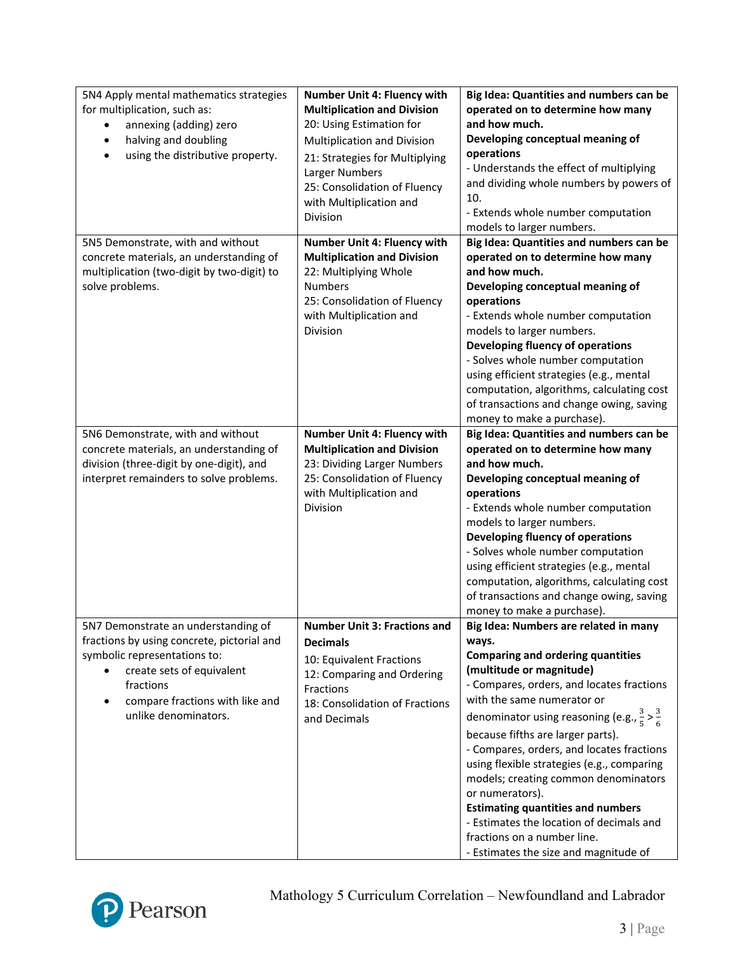| 5N4 Apply mental mathematics strategies<br>for multiplication, such as:<br>annexing (adding) zero<br>halving and doubling<br>$\bullet$<br>using the distributive property.<br>$\bullet$                                | <b>Number Unit 4: Fluency with</b><br><b>Multiplication and Division</b><br>20: Using Estimation for<br>Multiplication and Division<br>21: Strategies for Multiplying<br>Larger Numbers<br>25: Consolidation of Fluency<br>with Multiplication and<br>Division | Big Idea: Quantities and numbers can be<br>operated on to determine how many<br>and how much.<br>Developing conceptual meaning of<br>operations<br>- Understands the effect of multiplying<br>and dividing whole numbers by powers of<br>10.<br>- Extends whole number computation<br>models to larger numbers.                                                                                                                                                                                                                                                                                                                |
|------------------------------------------------------------------------------------------------------------------------------------------------------------------------------------------------------------------------|----------------------------------------------------------------------------------------------------------------------------------------------------------------------------------------------------------------------------------------------------------------|--------------------------------------------------------------------------------------------------------------------------------------------------------------------------------------------------------------------------------------------------------------------------------------------------------------------------------------------------------------------------------------------------------------------------------------------------------------------------------------------------------------------------------------------------------------------------------------------------------------------------------|
| 5N5 Demonstrate, with and without<br>concrete materials, an understanding of<br>multiplication (two-digit by two-digit) to<br>solve problems.                                                                          | Number Unit 4: Fluency with<br><b>Multiplication and Division</b><br>22: Multiplying Whole<br><b>Numbers</b><br>25: Consolidation of Fluency<br>with Multiplication and<br>Division                                                                            | Big Idea: Quantities and numbers can be<br>operated on to determine how many<br>and how much.<br>Developing conceptual meaning of<br>operations<br>- Extends whole number computation<br>models to larger numbers.<br>Developing fluency of operations<br>- Solves whole number computation<br>using efficient strategies (e.g., mental<br>computation, algorithms, calculating cost<br>of transactions and change owing, saving<br>money to make a purchase).                                                                                                                                                                 |
| 5N6 Demonstrate, with and without<br>concrete materials, an understanding of<br>division (three-digit by one-digit), and<br>interpret remainders to solve problems.                                                    | <b>Number Unit 4: Fluency with</b><br><b>Multiplication and Division</b><br>23: Dividing Larger Numbers<br>25: Consolidation of Fluency<br>with Multiplication and<br>Division                                                                                 | Big Idea: Quantities and numbers can be<br>operated on to determine how many<br>and how much.<br>Developing conceptual meaning of<br>operations<br>- Extends whole number computation<br>models to larger numbers.<br>Developing fluency of operations<br>- Solves whole number computation<br>using efficient strategies (e.g., mental<br>computation, algorithms, calculating cost<br>of transactions and change owing, saving<br>money to make a purchase).                                                                                                                                                                 |
| 5N7 Demonstrate an understanding of<br>fractions by using concrete, pictorial and<br>symbolic representations to:<br>create sets of equivalent<br>fractions<br>compare fractions with like and<br>unlike denominators. | <b>Number Unit 3: Fractions and</b><br><b>Decimals</b><br>10: Equivalent Fractions<br>12: Comparing and Ordering<br><b>Fractions</b><br>18: Consolidation of Fractions<br>and Decimals                                                                         | Big Idea: Numbers are related in many<br>ways.<br><b>Comparing and ordering quantities</b><br>(multitude or magnitude)<br>- Compares, orders, and locates fractions<br>with the same numerator or<br>denominator using reasoning (e.g., $\frac{3}{5} > \frac{3}{6}$<br>because fifths are larger parts).<br>- Compares, orders, and locates fractions<br>using flexible strategies (e.g., comparing<br>models; creating common denominators<br>or numerators).<br><b>Estimating quantities and numbers</b><br>- Estimates the location of decimals and<br>fractions on a number line.<br>- Estimates the size and magnitude of |

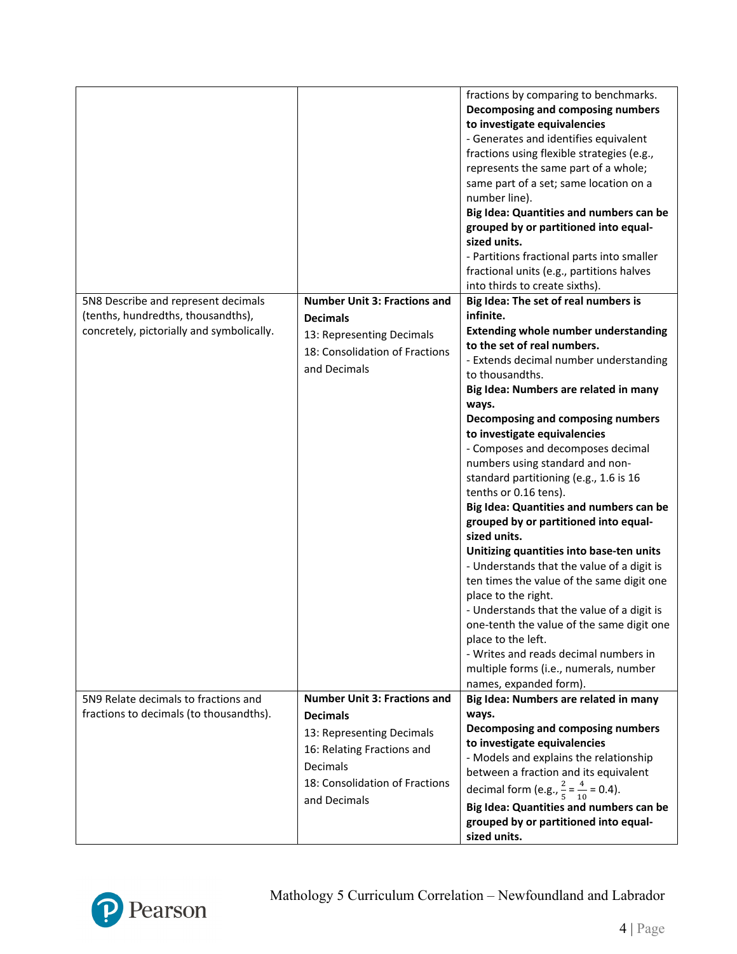|                                                                                                                        |                                                                                                                                                                                 | fractions by comparing to benchmarks.<br>Decomposing and composing numbers<br>to investigate equivalencies<br>- Generates and identifies equivalent<br>fractions using flexible strategies (e.g.,<br>represents the same part of a whole;<br>same part of a set; same location on a<br>number line).<br>Big Idea: Quantities and numbers can be<br>grouped by or partitioned into equal-<br>sized units.<br>- Partitions fractional parts into smaller<br>fractional units (e.g., partitions halves<br>into thirds to create sixths).                                                                                                                                                                                                                                                                                                                                                                                                                          |
|------------------------------------------------------------------------------------------------------------------------|---------------------------------------------------------------------------------------------------------------------------------------------------------------------------------|----------------------------------------------------------------------------------------------------------------------------------------------------------------------------------------------------------------------------------------------------------------------------------------------------------------------------------------------------------------------------------------------------------------------------------------------------------------------------------------------------------------------------------------------------------------------------------------------------------------------------------------------------------------------------------------------------------------------------------------------------------------------------------------------------------------------------------------------------------------------------------------------------------------------------------------------------------------|
| 5N8 Describe and represent decimals<br>(tenths, hundredths, thousandths),<br>concretely, pictorially and symbolically. | <b>Number Unit 3: Fractions and</b><br><b>Decimals</b><br>13: Representing Decimals<br>18: Consolidation of Fractions<br>and Decimals                                           | Big Idea: The set of real numbers is<br>infinite.<br><b>Extending whole number understanding</b><br>to the set of real numbers.<br>- Extends decimal number understanding<br>to thousandths.<br>Big Idea: Numbers are related in many<br>ways.<br>Decomposing and composing numbers<br>to investigate equivalencies<br>- Composes and decomposes decimal<br>numbers using standard and non-<br>standard partitioning (e.g., 1.6 is 16<br>tenths or 0.16 tens).<br>Big Idea: Quantities and numbers can be<br>grouped by or partitioned into equal-<br>sized units.<br>Unitizing quantities into base-ten units<br>- Understands that the value of a digit is<br>ten times the value of the same digit one<br>place to the right.<br>- Understands that the value of a digit is<br>one-tenth the value of the same digit one<br>place to the left.<br>- Writes and reads decimal numbers in<br>multiple forms (i.e., numerals, number<br>names, expanded form). |
| 5N9 Relate decimals to fractions and<br>fractions to decimals (to thousandths).                                        | <b>Number Unit 3: Fractions and</b><br><b>Decimals</b><br>13: Representing Decimals<br>16: Relating Fractions and<br>Decimals<br>18: Consolidation of Fractions<br>and Decimals | Big Idea: Numbers are related in many<br>ways.<br>Decomposing and composing numbers<br>to investigate equivalencies<br>- Models and explains the relationship<br>between a fraction and its equivalent<br>decimal form (e.g., $\frac{2}{5} = \frac{4}{10} = 0.4$ ).<br>Big Idea: Quantities and numbers can be<br>grouped by or partitioned into equal-<br>sized units.                                                                                                                                                                                                                                                                                                                                                                                                                                                                                                                                                                                        |

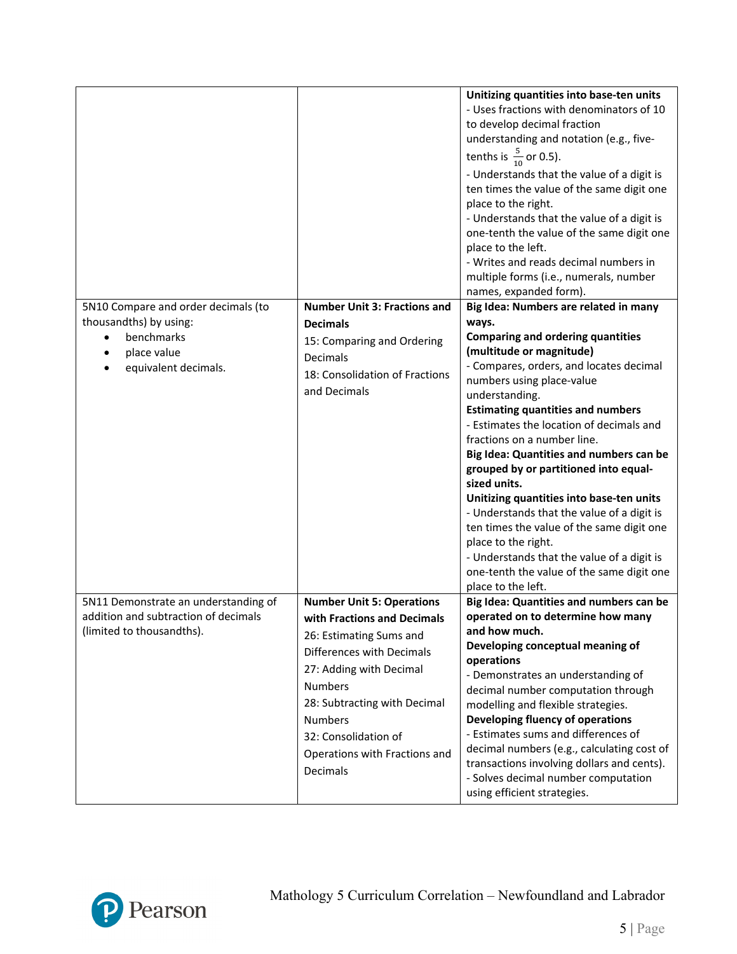|                                                                                                                    |                                                                                                                                                                                                                                                                                             | Unitizing quantities into base-ten units<br>- Uses fractions with denominators of 10<br>to develop decimal fraction<br>understanding and notation (e.g., five-<br>tenths is $\frac{5}{10}$ or 0.5).<br>- Understands that the value of a digit is<br>ten times the value of the same digit one<br>place to the right.<br>- Understands that the value of a digit is<br>one-tenth the value of the same digit one<br>place to the left.<br>- Writes and reads decimal numbers in<br>multiple forms (i.e., numerals, number<br>names, expanded form).                                                                                                                                                                        |
|--------------------------------------------------------------------------------------------------------------------|---------------------------------------------------------------------------------------------------------------------------------------------------------------------------------------------------------------------------------------------------------------------------------------------|----------------------------------------------------------------------------------------------------------------------------------------------------------------------------------------------------------------------------------------------------------------------------------------------------------------------------------------------------------------------------------------------------------------------------------------------------------------------------------------------------------------------------------------------------------------------------------------------------------------------------------------------------------------------------------------------------------------------------|
| 5N10 Compare and order decimals (to<br>thousandths) by using:<br>benchmarks<br>place value<br>equivalent decimals. | <b>Number Unit 3: Fractions and</b><br><b>Decimals</b><br>15: Comparing and Ordering<br>Decimals<br>18: Consolidation of Fractions<br>and Decimals                                                                                                                                          | Big Idea: Numbers are related in many<br>ways.<br><b>Comparing and ordering quantities</b><br>(multitude or magnitude)<br>- Compares, orders, and locates decimal<br>numbers using place-value<br>understanding.<br><b>Estimating quantities and numbers</b><br>- Estimates the location of decimals and<br>fractions on a number line.<br>Big Idea: Quantities and numbers can be<br>grouped by or partitioned into equal-<br>sized units.<br>Unitizing quantities into base-ten units<br>- Understands that the value of a digit is<br>ten times the value of the same digit one<br>place to the right.<br>- Understands that the value of a digit is<br>one-tenth the value of the same digit one<br>place to the left. |
| 5N11 Demonstrate an understanding of<br>addition and subtraction of decimals<br>(limited to thousandths).          | <b>Number Unit 5: Operations</b><br>with Fractions and Decimals<br>26: Estimating Sums and<br>Differences with Decimals<br>27: Adding with Decimal<br><b>Numbers</b><br>28: Subtracting with Decimal<br><b>Numbers</b><br>32: Consolidation of<br>Operations with Fractions and<br>Decimals | Big Idea: Quantities and numbers can be<br>operated on to determine how many<br>and how much.<br>Developing conceptual meaning of<br>operations<br>- Demonstrates an understanding of<br>decimal number computation through<br>modelling and flexible strategies.<br>Developing fluency of operations<br>- Estimates sums and differences of<br>decimal numbers (e.g., calculating cost of<br>transactions involving dollars and cents).<br>- Solves decimal number computation<br>using efficient strategies.                                                                                                                                                                                                             |

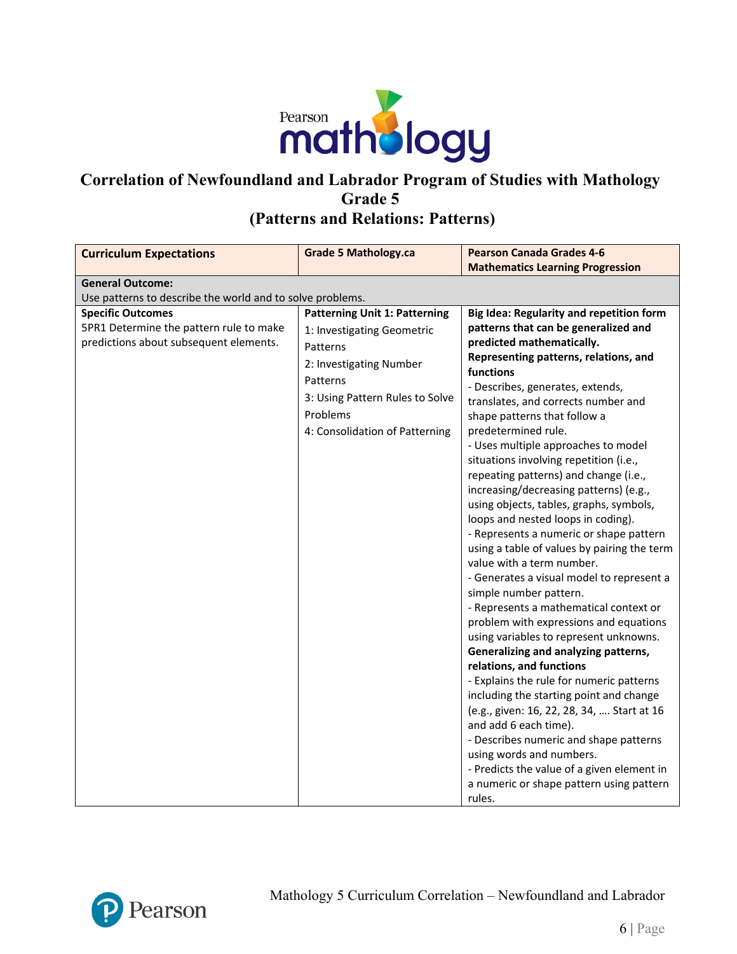

### **Correlation of Newfoundland and Labrador Program of Studies with Mathology Grade 5 (Patterns and Relations: Patterns)**

| <b>Curriculum Expectations</b>                            | <b>Grade 5 Mathology.ca</b>          | <b>Pearson Canada Grades 4-6</b>                                       |
|-----------------------------------------------------------|--------------------------------------|------------------------------------------------------------------------|
|                                                           |                                      | <b>Mathematics Learning Progression</b>                                |
| <b>General Outcome:</b>                                   |                                      |                                                                        |
| Use patterns to describe the world and to solve problems. |                                      |                                                                        |
| <b>Specific Outcomes</b>                                  | <b>Patterning Unit 1: Patterning</b> | Big Idea: Regularity and repetition form                               |
| 5PR1 Determine the pattern rule to make                   | 1: Investigating Geometric           | patterns that can be generalized and                                   |
| predictions about subsequent elements.                    | Patterns                             | predicted mathematically.                                              |
|                                                           | 2: Investigating Number              | Representing patterns, relations, and<br>functions                     |
|                                                           | Patterns                             | - Describes, generates, extends,                                       |
|                                                           | 3: Using Pattern Rules to Solve      | translates, and corrects number and                                    |
|                                                           | Problems                             | shape patterns that follow a                                           |
|                                                           | 4: Consolidation of Patterning       | predetermined rule.                                                    |
|                                                           |                                      | - Uses multiple approaches to model                                    |
|                                                           |                                      | situations involving repetition (i.e.,                                 |
|                                                           |                                      | repeating patterns) and change (i.e.,                                  |
|                                                           |                                      | increasing/decreasing patterns) (e.g.,                                 |
|                                                           |                                      | using objects, tables, graphs, symbols,                                |
|                                                           |                                      | loops and nested loops in coding).                                     |
|                                                           |                                      | - Represents a numeric or shape pattern                                |
|                                                           |                                      | using a table of values by pairing the term                            |
|                                                           |                                      | value with a term number.                                              |
|                                                           |                                      | - Generates a visual model to represent a                              |
|                                                           |                                      | simple number pattern.                                                 |
|                                                           |                                      | - Represents a mathematical context or                                 |
|                                                           |                                      | problem with expressions and equations                                 |
|                                                           |                                      | using variables to represent unknowns.                                 |
|                                                           |                                      | Generalizing and analyzing patterns,                                   |
|                                                           |                                      | relations, and functions                                               |
|                                                           |                                      | - Explains the rule for numeric patterns                               |
|                                                           |                                      | including the starting point and change                                |
|                                                           |                                      | (e.g., given: 16, 22, 28, 34,  Start at 16                             |
|                                                           |                                      | and add 6 each time).                                                  |
|                                                           |                                      | - Describes numeric and shape patterns                                 |
|                                                           |                                      | using words and numbers.<br>- Predicts the value of a given element in |
|                                                           |                                      | a numeric or shape pattern using pattern                               |
|                                                           |                                      | rules.                                                                 |

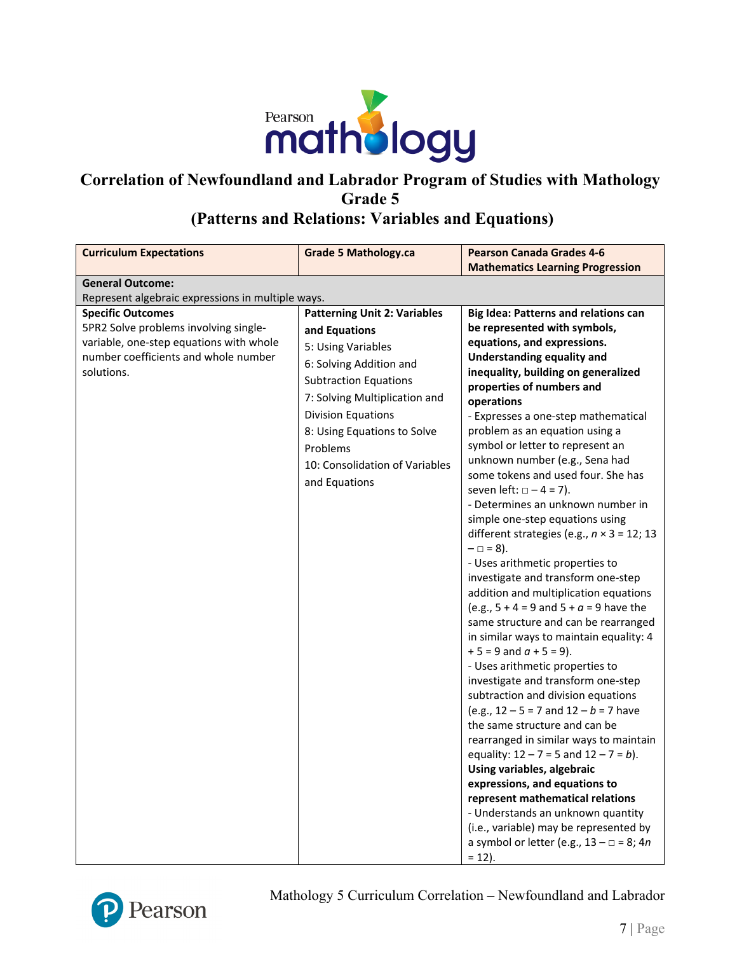

### **(Patterns and Relations: Variables and Equations)**

| <b>Curriculum Expectations</b>                    | <b>Grade 5 Mathology.ca</b>         | <b>Pearson Canada Grades 4-6</b>                                                            |
|---------------------------------------------------|-------------------------------------|---------------------------------------------------------------------------------------------|
|                                                   |                                     | <b>Mathematics Learning Progression</b>                                                     |
| <b>General Outcome:</b>                           |                                     |                                                                                             |
| Represent algebraic expressions in multiple ways. |                                     |                                                                                             |
| <b>Specific Outcomes</b>                          | <b>Patterning Unit 2: Variables</b> | <b>Big Idea: Patterns and relations can</b>                                                 |
| 5PR2 Solve problems involving single-             | and Equations                       | be represented with symbols,                                                                |
| variable, one-step equations with whole           | 5: Using Variables                  | equations, and expressions.                                                                 |
| number coefficients and whole number              | 6: Solving Addition and             | Understanding equality and                                                                  |
| solutions.                                        | <b>Subtraction Equations</b>        | inequality, building on generalized                                                         |
|                                                   |                                     | properties of numbers and                                                                   |
|                                                   | 7: Solving Multiplication and       | operations                                                                                  |
|                                                   | <b>Division Equations</b>           | - Expresses a one-step mathematical                                                         |
|                                                   | 8: Using Equations to Solve         | problem as an equation using a                                                              |
|                                                   | Problems                            | symbol or letter to represent an                                                            |
|                                                   | 10: Consolidation of Variables      | unknown number (e.g., Sena had<br>some tokens and used four. She has                        |
|                                                   | and Equations                       | seven left: $\Box - 4 = 7$ ).                                                               |
|                                                   |                                     | - Determines an unknown number in                                                           |
|                                                   |                                     | simple one-step equations using                                                             |
|                                                   |                                     | different strategies (e.g., $n \times 3 = 12$ ; 13                                          |
|                                                   |                                     | $- \Box = 8$ ).                                                                             |
|                                                   |                                     | - Uses arithmetic properties to                                                             |
|                                                   |                                     | investigate and transform one-step                                                          |
|                                                   |                                     | addition and multiplication equations                                                       |
|                                                   |                                     | (e.g., $5 + 4 = 9$ and $5 + a = 9$ have the                                                 |
|                                                   |                                     | same structure and can be rearranged                                                        |
|                                                   |                                     | in similar ways to maintain equality: 4                                                     |
|                                                   |                                     | $+5 = 9$ and $a + 5 = 9$ ).                                                                 |
|                                                   |                                     | - Uses arithmetic properties to                                                             |
|                                                   |                                     | investigate and transform one-step                                                          |
|                                                   |                                     | subtraction and division equations                                                          |
|                                                   |                                     | (e.g., $12 - 5 = 7$ and $12 - b = 7$ have                                                   |
|                                                   |                                     | the same structure and can be                                                               |
|                                                   |                                     | rearranged in similar ways to maintain                                                      |
|                                                   |                                     | equality: $12 - 7 = 5$ and $12 - 7 = b$ ).                                                  |
|                                                   |                                     | Using variables, algebraic                                                                  |
|                                                   |                                     | expressions, and equations to                                                               |
|                                                   |                                     | represent mathematical relations                                                            |
|                                                   |                                     | - Understands an unknown quantity                                                           |
|                                                   |                                     | (i.e., variable) may be represented by<br>a symbol or letter (e.g., $13 - \square = 8$ ; 4n |
|                                                   |                                     | $= 12$ ).                                                                                   |



Mathology 5 Curriculum Correlation – Newfoundland and Labrador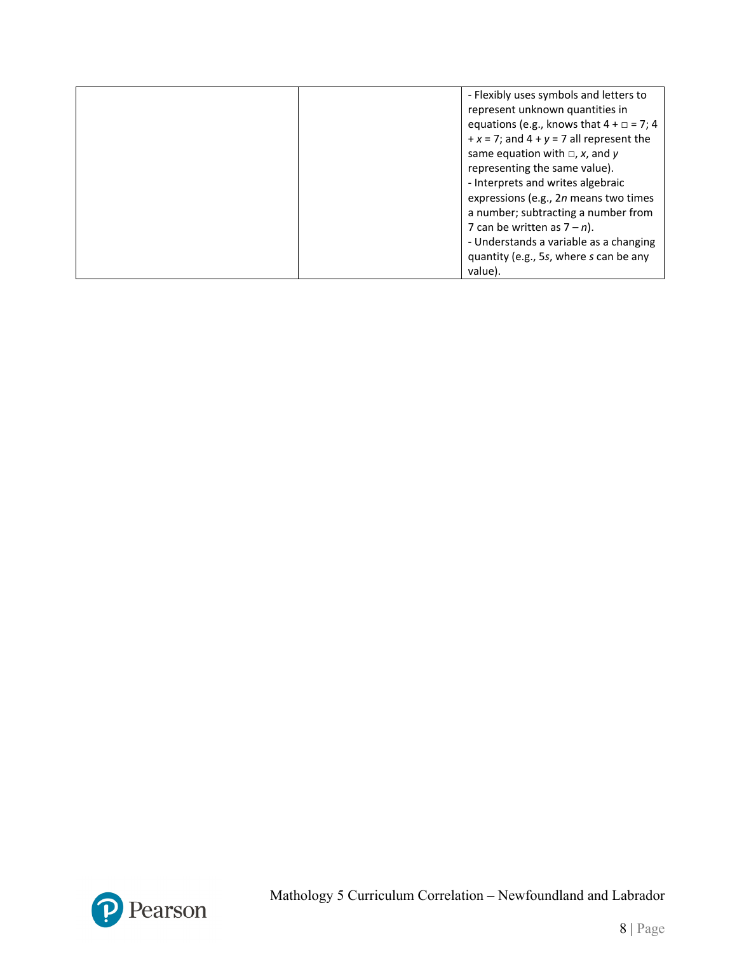| - Flexibly uses symbols and letters to            |
|---------------------------------------------------|
| represent unknown quantities in                   |
| equations (e.g., knows that $4 + \square = 7$ ; 4 |
| $+x = 7$ ; and $4 + y = 7$ all represent the      |
| same equation with $\Box$ , x, and y              |
| representing the same value).                     |
| - Interprets and writes algebraic                 |
| expressions (e.g., 2n means two times             |
| a number; subtracting a number from               |
| 7 can be written as $7 - n$ ).                    |
| - Understands a variable as a changing            |
| quantity (e.g., 5s, where s can be any            |
| value).                                           |

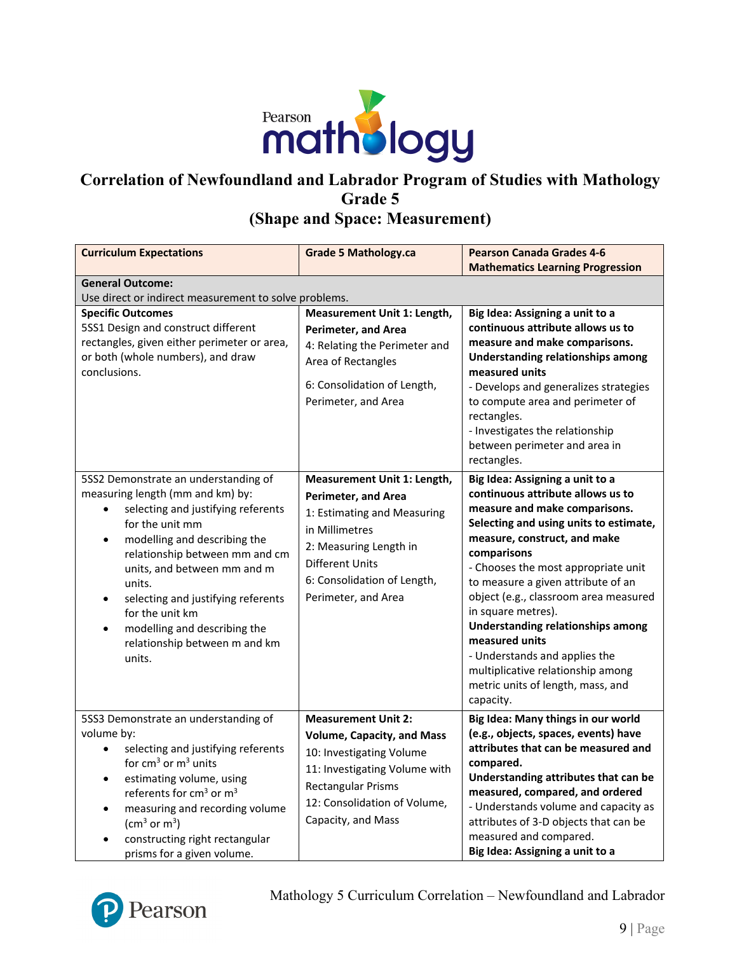

#### **Correlation of Newfoundland and Labrador Program of Studies with Mathology Grade 5 (Shape and Space: Measurement)**

**Curriculum Expectations Grade 5 Mathology.ca Pearson Canada Grades 4-6 Mathematics Learning Progression General Outcome:** Use direct or indirect measurement to solve problems. **Specific Outcomes** 5SS1 Design and construct different rectangles, given either perimeter or area, or both (whole numbers), and draw conclusions. **Measurement Unit 1: Length, Perimeter, and Area** 4: Relating the Perimeter and Area of Rectangles 6: Consolidation of Length, Perimeter, and Area **Big Idea: Assigning a unit to a continuous attribute allows us to measure and make comparisons. Understanding relationships among measured units** - Develops and generalizes strategies to compute area and perimeter of rectangles. - Investigates the relationship between perimeter and area in rectangles. 5SS2 Demonstrate an understanding of measuring length (mm and km) by: • selecting and justifying referents for the unit mm • modelling and describing the relationship between mm and cm units, and between mm and m units. selecting and justifying referents for the unit km • modelling and describing the relationship between m and km units. **Measurement Unit 1: Length, Perimeter, and Area** 1: Estimating and Measuring in Millimetres 2: Measuring Length in Different Units 6: Consolidation of Length, Perimeter, and Area **Big Idea: Assigning a unit to a continuous attribute allows us to measure and make comparisons. Selecting and using units to estimate, measure, construct, and make comparisons** - Chooses the most appropriate unit to measure a given attribute of an object (e.g., classroom area measured in square metres). **Understanding relationships among measured units** - Understands and applies the multiplicative relationship among metric units of length, mass, and capacity. 5SS3 Demonstrate an understanding of volume by: selecting and justifying referents for  $cm<sup>3</sup>$  or  $m<sup>3</sup>$  units estimating volume, using referents for cm<sup>3</sup> or m<sup>3</sup> • measuring and recording volume (cm<sup>3</sup> or m<sup>3</sup>) • constructing right rectangular prisms for a given volume. **Measurement Unit 2: Volume, Capacity, and Mass** 10: Investigating Volume 11: Investigating Volume with Rectangular Prisms 12: Consolidation of Volume, Capacity, and Mass **Big Idea: Many things in our world (e.g., objects, spaces, events) have attributes that can be measured and compared. Understanding attributes that can be measured, compared, and ordered** - Understands volume and capacity as attributes of 3-D objects that can be measured and compared. **Big Idea: Assigning a unit to a** 

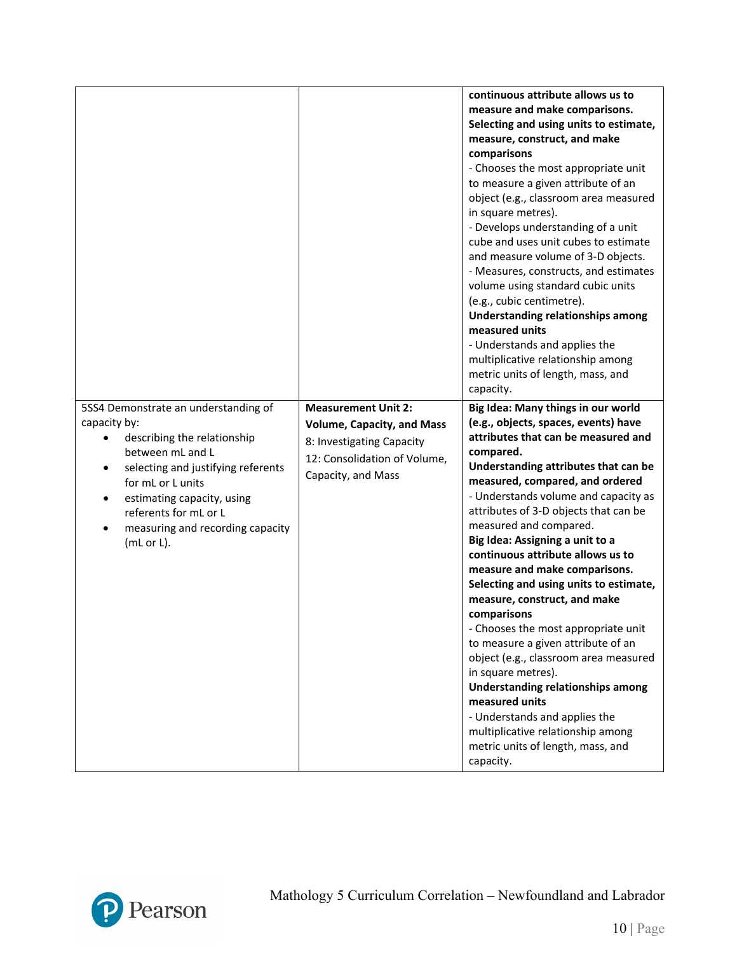|                                                                                                                                                                                                                                                                                               |                                                                                                                                                    | continuous attribute allows us to<br>measure and make comparisons.<br>Selecting and using units to estimate,<br>measure, construct, and make<br>comparisons<br>- Chooses the most appropriate unit<br>to measure a given attribute of an<br>object (e.g., classroom area measured<br>in square metres).<br>- Develops understanding of a unit<br>cube and uses unit cubes to estimate<br>and measure volume of 3-D objects.<br>- Measures, constructs, and estimates<br>volume using standard cubic units<br>(e.g., cubic centimetre).<br>Understanding relationships among<br>measured units<br>- Understands and applies the<br>multiplicative relationship among<br>metric units of length, mass, and<br>capacity.                                                                                                                                    |
|-----------------------------------------------------------------------------------------------------------------------------------------------------------------------------------------------------------------------------------------------------------------------------------------------|----------------------------------------------------------------------------------------------------------------------------------------------------|----------------------------------------------------------------------------------------------------------------------------------------------------------------------------------------------------------------------------------------------------------------------------------------------------------------------------------------------------------------------------------------------------------------------------------------------------------------------------------------------------------------------------------------------------------------------------------------------------------------------------------------------------------------------------------------------------------------------------------------------------------------------------------------------------------------------------------------------------------|
| 5SS4 Demonstrate an understanding of<br>capacity by:<br>describing the relationship<br>between mL and L<br>selecting and justifying referents<br>$\bullet$<br>for mL or L units<br>estimating capacity, using<br>٠<br>referents for mL or L<br>measuring and recording capacity<br>(mL or L). | <b>Measurement Unit 2:</b><br><b>Volume, Capacity, and Mass</b><br>8: Investigating Capacity<br>12: Consolidation of Volume,<br>Capacity, and Mass | Big Idea: Many things in our world<br>(e.g., objects, spaces, events) have<br>attributes that can be measured and<br>compared.<br>Understanding attributes that can be<br>measured, compared, and ordered<br>- Understands volume and capacity as<br>attributes of 3-D objects that can be<br>measured and compared.<br>Big Idea: Assigning a unit to a<br>continuous attribute allows us to<br>measure and make comparisons.<br>Selecting and using units to estimate,<br>measure, construct, and make<br>comparisons<br>- Chooses the most appropriate unit<br>to measure a given attribute of an<br>object (e.g., classroom area measured<br>in square metres).<br><b>Understanding relationships among</b><br>measured units<br>- Understands and applies the<br>multiplicative relationship among<br>metric units of length, mass, and<br>capacity. |

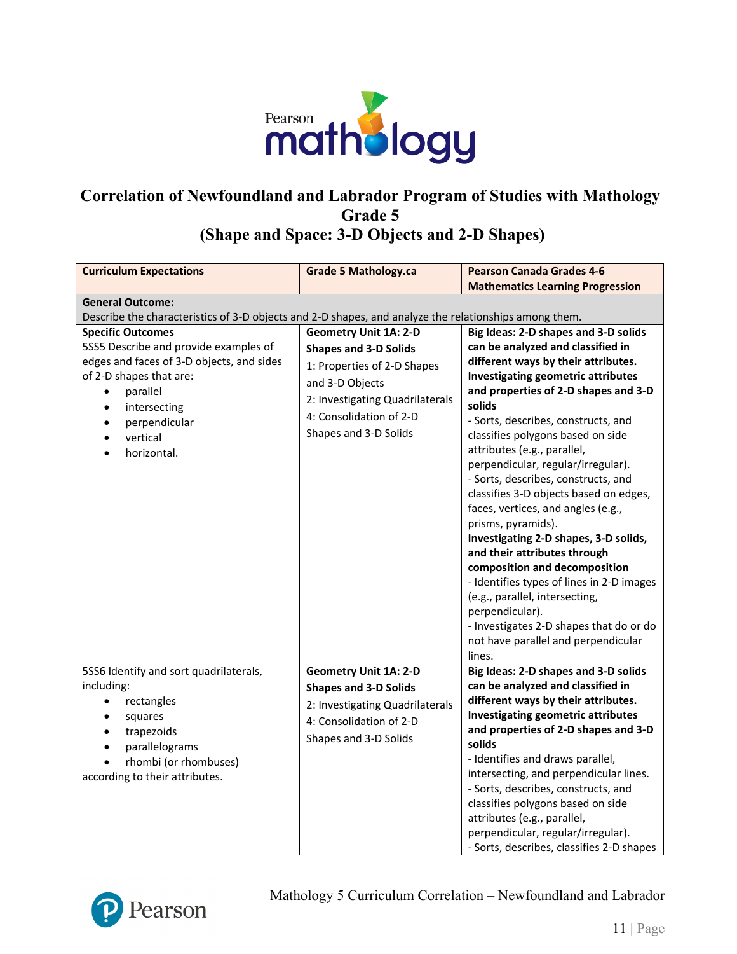

**(Shape and Space: 3-D Objects and 2-D Shapes)** 

| <b>Curriculum Expectations</b>                                                                                                                                                                     | <b>Grade 5 Mathology.ca</b>                                                                                                                         | <b>Pearson Canada Grades 4-6</b>                                                                                                                                                                                                                                                                                                                                                                                                                                                                                                                                                                                                                                                                                               |
|----------------------------------------------------------------------------------------------------------------------------------------------------------------------------------------------------|-----------------------------------------------------------------------------------------------------------------------------------------------------|--------------------------------------------------------------------------------------------------------------------------------------------------------------------------------------------------------------------------------------------------------------------------------------------------------------------------------------------------------------------------------------------------------------------------------------------------------------------------------------------------------------------------------------------------------------------------------------------------------------------------------------------------------------------------------------------------------------------------------|
|                                                                                                                                                                                                    |                                                                                                                                                     | <b>Mathematics Learning Progression</b>                                                                                                                                                                                                                                                                                                                                                                                                                                                                                                                                                                                                                                                                                        |
| <b>General Outcome:</b>                                                                                                                                                                            |                                                                                                                                                     |                                                                                                                                                                                                                                                                                                                                                                                                                                                                                                                                                                                                                                                                                                                                |
| Describe the characteristics of 3-D objects and 2-D shapes, and analyze the relationships among them.                                                                                              |                                                                                                                                                     |                                                                                                                                                                                                                                                                                                                                                                                                                                                                                                                                                                                                                                                                                                                                |
| <b>Specific Outcomes</b>                                                                                                                                                                           | <b>Geometry Unit 1A: 2-D</b>                                                                                                                        | Big Ideas: 2-D shapes and 3-D solids                                                                                                                                                                                                                                                                                                                                                                                                                                                                                                                                                                                                                                                                                           |
| 5SS5 Describe and provide examples of                                                                                                                                                              | <b>Shapes and 3-D Solids</b>                                                                                                                        | can be analyzed and classified in                                                                                                                                                                                                                                                                                                                                                                                                                                                                                                                                                                                                                                                                                              |
| edges and faces of 3-D objects, and sides<br>of 2-D shapes that are:<br>parallel<br>$\bullet$<br>intersecting<br>$\bullet$<br>perpendicular<br>vertical<br>horizontal.                             | 1: Properties of 2-D Shapes<br>and 3-D Objects<br>2: Investigating Quadrilaterals<br>4: Consolidation of 2-D<br>Shapes and 3-D Solids               | different ways by their attributes.<br><b>Investigating geometric attributes</b><br>and properties of 2-D shapes and 3-D<br>solids<br>- Sorts, describes, constructs, and<br>classifies polygons based on side<br>attributes (e.g., parallel,<br>perpendicular, regular/irregular).<br>- Sorts, describes, constructs, and<br>classifies 3-D objects based on edges,<br>faces, vertices, and angles (e.g.,<br>prisms, pyramids).<br>Investigating 2-D shapes, 3-D solids,<br>and their attributes through<br>composition and decomposition<br>- Identifies types of lines in 2-D images<br>(e.g., parallel, intersecting,<br>perpendicular).<br>- Investigates 2-D shapes that do or do<br>not have parallel and perpendicular |
|                                                                                                                                                                                                    |                                                                                                                                                     | lines.                                                                                                                                                                                                                                                                                                                                                                                                                                                                                                                                                                                                                                                                                                                         |
| 5SS6 Identify and sort quadrilaterals,<br>including:<br>rectangles<br>$\bullet$<br>squares<br>$\bullet$<br>trapezoids<br>parallelograms<br>rhombi (or rhombuses)<br>according to their attributes. | <b>Geometry Unit 1A: 2-D</b><br><b>Shapes and 3-D Solids</b><br>2: Investigating Quadrilaterals<br>4: Consolidation of 2-D<br>Shapes and 3-D Solids | Big Ideas: 2-D shapes and 3-D solids<br>can be analyzed and classified in<br>different ways by their attributes.<br><b>Investigating geometric attributes</b><br>and properties of 2-D shapes and 3-D<br>solids<br>- Identifies and draws parallel,<br>intersecting, and perpendicular lines.<br>- Sorts, describes, constructs, and<br>classifies polygons based on side<br>attributes (e.g., parallel,<br>perpendicular, regular/irregular).<br>- Sorts, describes, classifies 2-D shapes                                                                                                                                                                                                                                    |

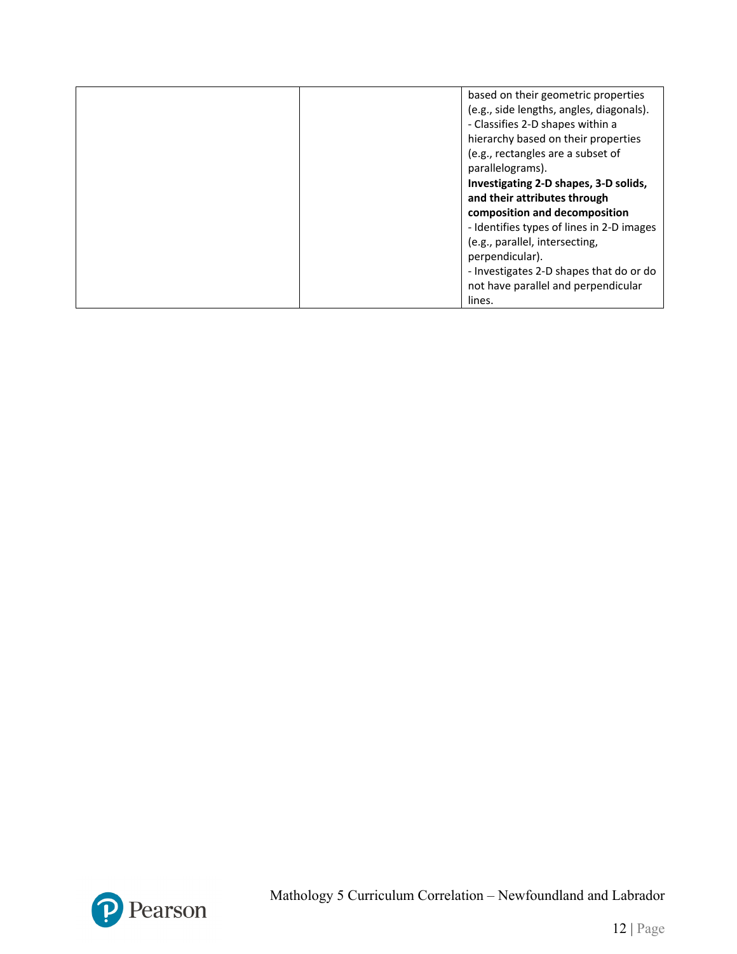| based on their geometric properties                                            |
|--------------------------------------------------------------------------------|
| (e.g., side lengths, angles, diagonals).                                       |
| - Classifies 2-D shapes within a                                               |
| hierarchy based on their properties                                            |
| (e.g., rectangles are a subset of                                              |
| parallelograms).                                                               |
| Investigating 2-D shapes, 3-D solids,                                          |
| and their attributes through                                                   |
| composition and decomposition                                                  |
| - Identifies types of lines in 2-D images                                      |
| (e.g., parallel, intersecting,                                                 |
| perpendicular).                                                                |
|                                                                                |
|                                                                                |
| lines.                                                                         |
| - Investigates 2-D shapes that do or do<br>not have parallel and perpendicular |

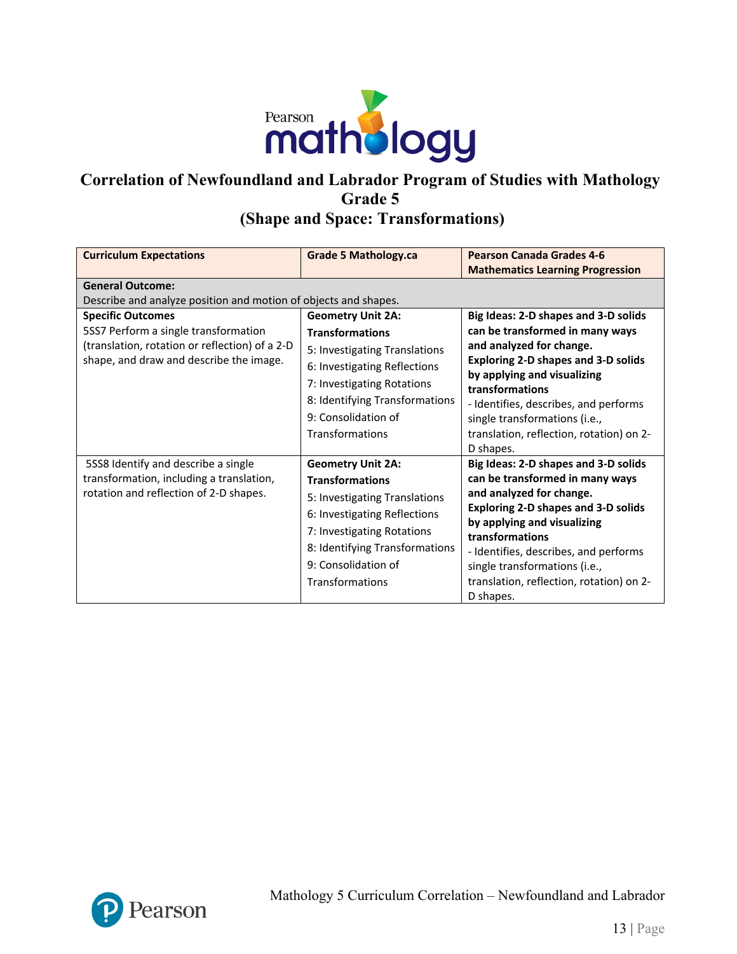

### **Correlation of Newfoundland and Labrador Program of Studies with Mathology Grade 5 (Shape and Space: Transformations)**

| <b>Curriculum Expectations</b>                                                                                                                                | <b>Grade 5 Mathology.ca</b>                                                                                                                                                                                                   | <b>Pearson Canada Grades 4-6</b><br><b>Mathematics Learning Progression</b>                                                                                                                                                                                                                                                            |  |
|---------------------------------------------------------------------------------------------------------------------------------------------------------------|-------------------------------------------------------------------------------------------------------------------------------------------------------------------------------------------------------------------------------|----------------------------------------------------------------------------------------------------------------------------------------------------------------------------------------------------------------------------------------------------------------------------------------------------------------------------------------|--|
| <b>General Outcome:</b><br>Describe and analyze position and motion of objects and shapes.                                                                    |                                                                                                                                                                                                                               |                                                                                                                                                                                                                                                                                                                                        |  |
| <b>Specific Outcomes</b><br>5SS7 Perform a single transformation<br>(translation, rotation or reflection) of a 2-D<br>shape, and draw and describe the image. | <b>Geometry Unit 2A:</b><br><b>Transformations</b><br>5: Investigating Translations<br>6: Investigating Reflections<br>7: Investigating Rotations<br>8: Identifying Transformations<br>9: Consolidation of<br>Transformations | Big Ideas: 2-D shapes and 3-D solids<br>can be transformed in many ways<br>and analyzed for change.<br><b>Exploring 2-D shapes and 3-D solids</b><br>by applying and visualizing<br>transformations<br>- Identifies, describes, and performs<br>single transformations (i.e.,<br>translation, reflection, rotation) on 2-<br>D shapes. |  |
| 5SS8 Identify and describe a single<br>transformation, including a translation,<br>rotation and reflection of 2-D shapes.                                     | <b>Geometry Unit 2A:</b><br><b>Transformations</b><br>5: Investigating Translations<br>6: Investigating Reflections<br>7: Investigating Rotations<br>8: Identifying Transformations<br>9: Consolidation of<br>Transformations | Big Ideas: 2-D shapes and 3-D solids<br>can be transformed in many ways<br>and analyzed for change.<br><b>Exploring 2-D shapes and 3-D solids</b><br>by applying and visualizing<br>transformations<br>- Identifies, describes, and performs<br>single transformations (i.e.,<br>translation, reflection, rotation) on 2-<br>D shapes. |  |

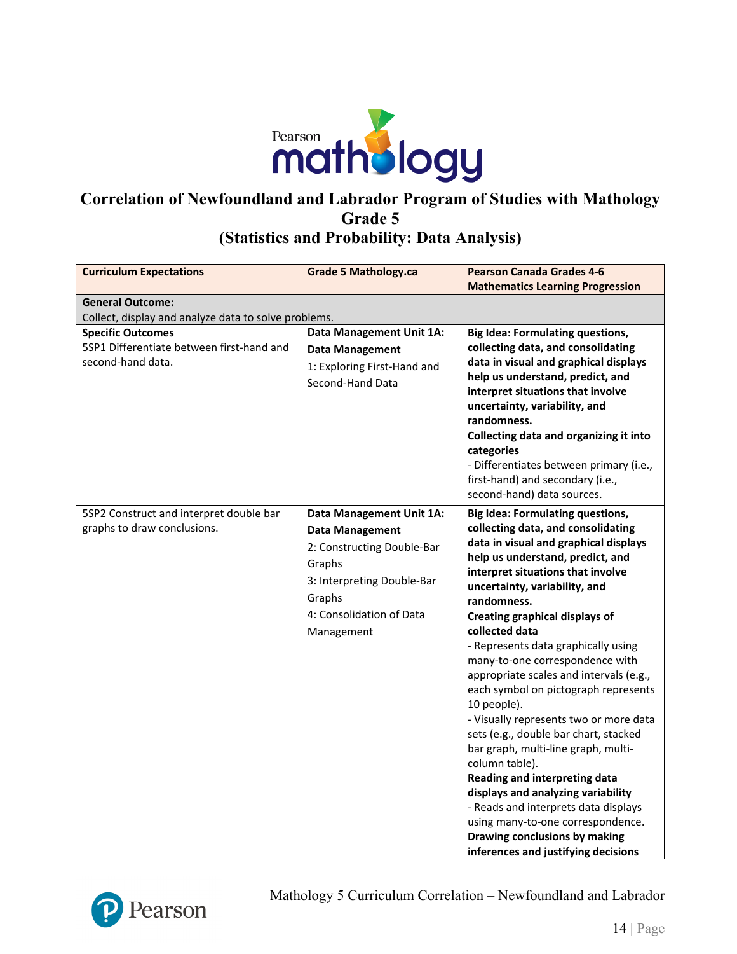

### **(Statistics and Probability: Data Analysis)**

| <b>Curriculum Expectations</b>                                                             | <b>Grade 5 Mathology.ca</b>                                                                                                                                                  | <b>Pearson Canada Grades 4-6</b><br><b>Mathematics Learning Progression</b>                                                                                                                                                                                                                                                                                                                                                                                                                                                                                                                                                                                                                                                                                                                                                                                    |  |
|--------------------------------------------------------------------------------------------|------------------------------------------------------------------------------------------------------------------------------------------------------------------------------|----------------------------------------------------------------------------------------------------------------------------------------------------------------------------------------------------------------------------------------------------------------------------------------------------------------------------------------------------------------------------------------------------------------------------------------------------------------------------------------------------------------------------------------------------------------------------------------------------------------------------------------------------------------------------------------------------------------------------------------------------------------------------------------------------------------------------------------------------------------|--|
| <b>General Outcome:</b>                                                                    |                                                                                                                                                                              |                                                                                                                                                                                                                                                                                                                                                                                                                                                                                                                                                                                                                                                                                                                                                                                                                                                                |  |
| Collect, display and analyze data to solve problems.                                       |                                                                                                                                                                              |                                                                                                                                                                                                                                                                                                                                                                                                                                                                                                                                                                                                                                                                                                                                                                                                                                                                |  |
| <b>Specific Outcomes</b><br>5SP1 Differentiate between first-hand and<br>second-hand data. | Data Management Unit 1A:<br><b>Data Management</b><br>1: Exploring First-Hand and<br>Second-Hand Data                                                                        | <b>Big Idea: Formulating questions,</b><br>collecting data, and consolidating<br>data in visual and graphical displays<br>help us understand, predict, and<br>interpret situations that involve<br>uncertainty, variability, and<br>randomness.<br>Collecting data and organizing it into<br>categories<br>- Differentiates between primary (i.e.,<br>first-hand) and secondary (i.e.,<br>second-hand) data sources.                                                                                                                                                                                                                                                                                                                                                                                                                                           |  |
| 5SP2 Construct and interpret double bar<br>graphs to draw conclusions.                     | Data Management Unit 1A:<br><b>Data Management</b><br>2: Constructing Double-Bar<br>Graphs<br>3: Interpreting Double-Bar<br>Graphs<br>4: Consolidation of Data<br>Management | <b>Big Idea: Formulating questions,</b><br>collecting data, and consolidating<br>data in visual and graphical displays<br>help us understand, predict, and<br>interpret situations that involve<br>uncertainty, variability, and<br>randomness.<br><b>Creating graphical displays of</b><br>collected data<br>- Represents data graphically using<br>many-to-one correspondence with<br>appropriate scales and intervals (e.g.,<br>each symbol on pictograph represents<br>10 people).<br>- Visually represents two or more data<br>sets (e.g., double bar chart, stacked<br>bar graph, multi-line graph, multi-<br>column table).<br>Reading and interpreting data<br>displays and analyzing variability<br>- Reads and interprets data displays<br>using many-to-one correspondence.<br>Drawing conclusions by making<br>inferences and justifying decisions |  |



Mathology 5 Curriculum Correlation – Newfoundland and Labrador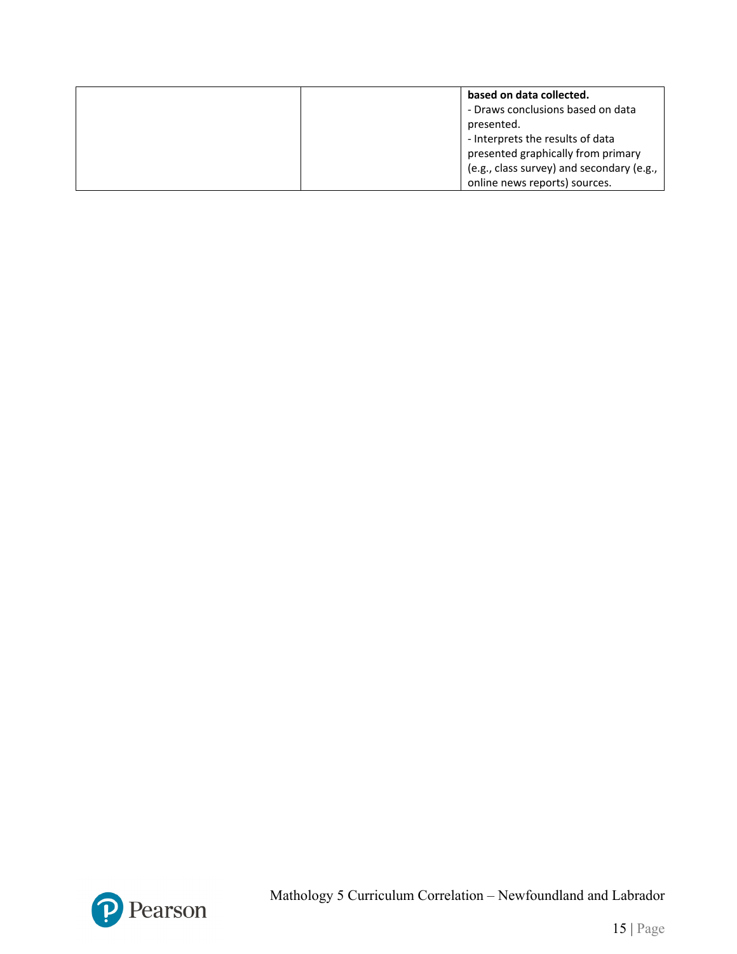| based on data collected.                  |
|-------------------------------------------|
| - Draws conclusions based on data         |
| presented.                                |
| - Interprets the results of data          |
| presented graphically from primary        |
| (e.g., class survey) and secondary (e.g., |
| online news reports) sources.             |